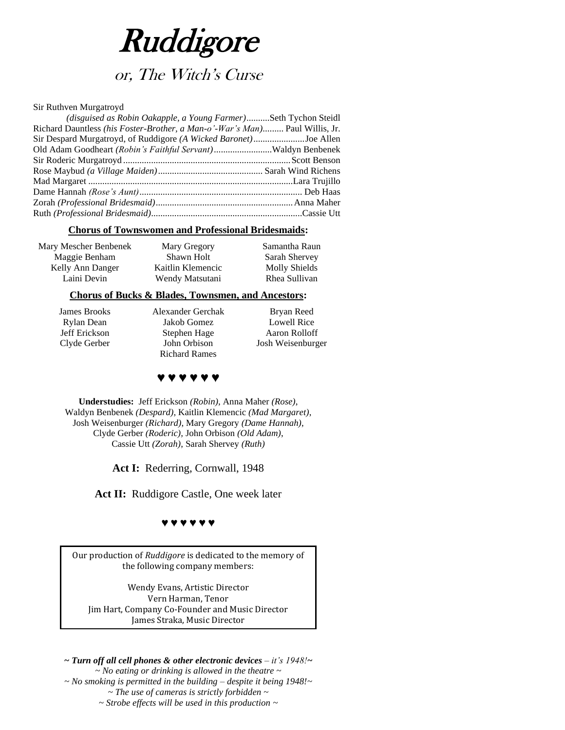

# or, The Witch's Curse

#### Sir Ruthven Murgatroyd

| <i>(disguised as Robin Oakapple, a Young Farmer)Seth Tychon Steidl</i>      |
|-----------------------------------------------------------------------------|
| Richard Dauntless (his Foster-Brother, a Man-o'-War's Man) Paul Willis, Jr. |
| Sir Despard Murgatroyd, of Ruddigore (A Wicked Baronet)Joe Allen            |
| Old Adam Goodheart (Robin's Faithful Servant)Waldyn Benbenek                |
|                                                                             |
|                                                                             |
|                                                                             |
|                                                                             |
|                                                                             |
|                                                                             |
|                                                                             |

### **Chorus of Townswomen and Professional Bridesmaids:**

| Mary Mescher Benbenek | Mary Gregory      | Samantha Raun |
|-----------------------|-------------------|---------------|
| Maggie Benham         | Shawn Holt        | Sarah Shervey |
| Kelly Ann Danger      | Kaitlin Klemencic | Molly Shields |
| Laini Devin           | Wendy Matsutani   | Rhea Sullivan |
|                       |                   |               |

### **Chorus of Bucks & Blades, Townsmen, and Ancestors:**

James Brooks Rylan Dean Jeff Erickson Clyde Gerber Alexander Gerchak Jakob Gomez Stephen Hage John Orbison Richard Rames

Bryan Reed Lowell Rice Aaron Rolloff Josh Weisenburger

### **♥ ♥ ♥ ♥ ♥ ♥**

**Understudies:** Jeff Erickson *(Robin)*, Anna Maher *(Rose)*, Waldyn Benbenek *(Despard)*, Kaitlin Klemencic *(Mad Margaret)*, Josh Weisenburger *(Richard)*, Mary Gregory *(Dame Hannah)*, Clyde Gerber *(Roderic),* John Orbison *(Old Adam)*, Cassie Utt *(Zorah)*, Sarah Shervey *(Ruth)*

Act I: Rederring, Cornwall, 1948

Act II: Ruddigore Castle, One week later

#### **♥ ♥ ♥ ♥ ♥ ♥**

Our production of *Ruddigore* is dedicated to the memory of the following company members:

Wendy Evans, Artistic Director Vern Harman, Tenor Jim Hart, Company Co-Founder and Music Director James Straka, Music Director

*~ Turn off all cell phones & other electronic devices – it's 1948!~ ~ No eating or drinking is allowed in the theatre ~ ~ No smoking is permitted in the building – despite it being 1948!~ ~ The use of cameras is strictly forbidden ~ ~ Strobe effects will be used in this production ~*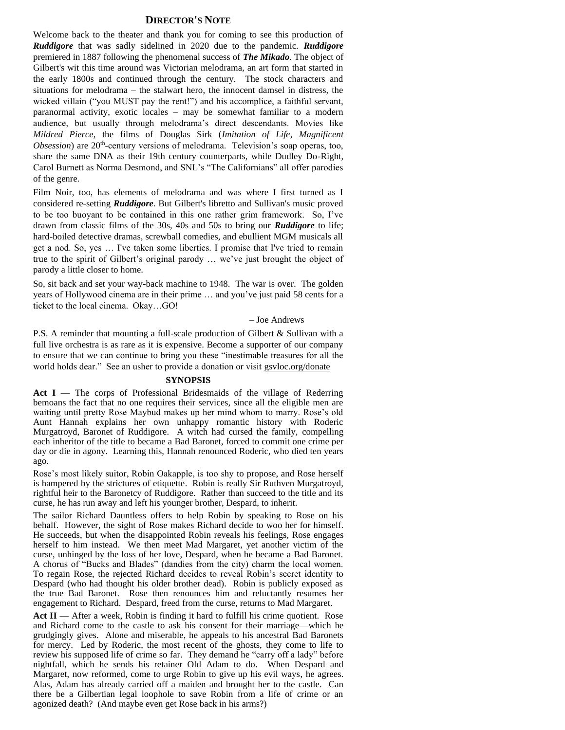### **DIRECTOR'S NOTE**

Welcome back to the theater and thank you for coming to see this production of *Ruddigore* that was sadly sidelined in 2020 due to the pandemic. *Ruddigore* premiered in 1887 following the phenomenal success of *The Mikado*. The object of Gilbert's wit this time around was Victorian melodrama, an art form that started in the early 1800s and continued through the century. The stock characters and situations for melodrama – the stalwart hero, the innocent damsel in distress, the wicked villain ("you MUST pay the rent!") and his accomplice, a faithful servant, paranormal activity, exotic locales – may be somewhat familiar to a modern audience, but usually through melodrama's direct descendants. Movies like *Mildred Pierce*, the films of Douglas Sirk (*Imitation of Life*, *Magnificent*  Obsession) are 20<sup>th</sup>-century versions of melodrama. Television's soap operas, too, share the same DNA as their 19th century counterparts, while Dudley Do-Right, Carol Burnett as Norma Desmond, and SNL's "The Californians" all offer parodies of the genre.

Film Noir, too, has elements of melodrama and was where I first turned as I considered re-setting *Ruddigore*. But Gilbert's libretto and Sullivan's music proved to be too buoyant to be contained in this one rather grim framework. So, I've drawn from classic films of the 30s, 40s and 50s to bring our *Ruddigore* to life; hard-boiled detective dramas, screwball comedies, and ebullient MGM musicals all get a nod. So, yes … I've taken some liberties. I promise that I've tried to remain true to the spirit of Gilbert's original parody … we've just brought the object of parody a little closer to home.

So, sit back and set your way-back machine to 1948. The war is over. The golden years of Hollywood cinema are in their prime … and you've just paid 58 cents for a ticket to the local cinema. Okay…GO!

#### – Joe Andrews

P.S. A reminder that mounting a full-scale production of Gilbert & Sullivan with a full live orchestra is as rare as it is expensive. Become a supporter of our company to ensure that we can continue to bring you these "inestimable treasures for all the world holds dear." See an usher to provide a donation or visit gsvloc.org/donate

#### **SYNOPSIS**

Act I — The corps of Professional Bridesmaids of the village of Rederring bemoans the fact that no one requires their services, since all the eligible men are waiting until pretty Rose Maybud makes up her mind whom to marry. Rose's old Aunt Hannah explains her own unhappy romantic history with Roderic Murgatroyd, Baronet of Ruddigore. A witch had cursed the family, compelling each inheritor of the title to became a Bad Baronet, forced to commit one crime per day or die in agony. Learning this, Hannah renounced Roderic, who died ten years ago.

Rose's most likely suitor, Robin Oakapple, is too shy to propose, and Rose herself is hampered by the strictures of etiquette. Robin is really Sir Ruthven Murgatroyd, rightful heir to the Baronetcy of Ruddigore. Rather than succeed to the title and its curse, he has run away and left his younger brother, Despard, to inherit.

The sailor Richard Dauntless offers to help Robin by speaking to Rose on his behalf. However, the sight of Rose makes Richard decide to woo her for himself. He succeeds, but when the disappointed Robin reveals his feelings, Rose engages herself to him instead. We then meet Mad Margaret, yet another victim of the curse, unhinged by the loss of her love, Despard, when he became a Bad Baronet. A chorus of "Bucks and Blades" (dandies from the city) charm the local women. To regain Rose, the rejected Richard decides to reveal Robin's secret identity to Despard (who had thought his older brother dead). Robin is publicly exposed as the true Bad Baronet. Rose then renounces him and reluctantly resumes her engagement to Richard. Despard, freed from the curse, returns to Mad Margaret.

Act II — After a week, Robin is finding it hard to fulfill his crime quotient. Rose and Richard come to the castle to ask his consent for their marriage—which he grudgingly gives. Alone and miserable, he appeals to his ancestral Bad Baronets for mercy. Led by Roderic, the most recent of the ghosts, they come to life to review his supposed life of crime so far. They demand he "carry off a lady" before nightfall, which he sends his retainer Old Adam to do. When Despard and Margaret, now reformed, come to urge Robin to give up his evil ways, he agrees. Alas, Adam has already carried off a maiden and brought her to the castle. Can there be a Gilbertian legal loophole to save Robin from a life of crime or an agonized death? (And maybe even get Rose back in his arms?)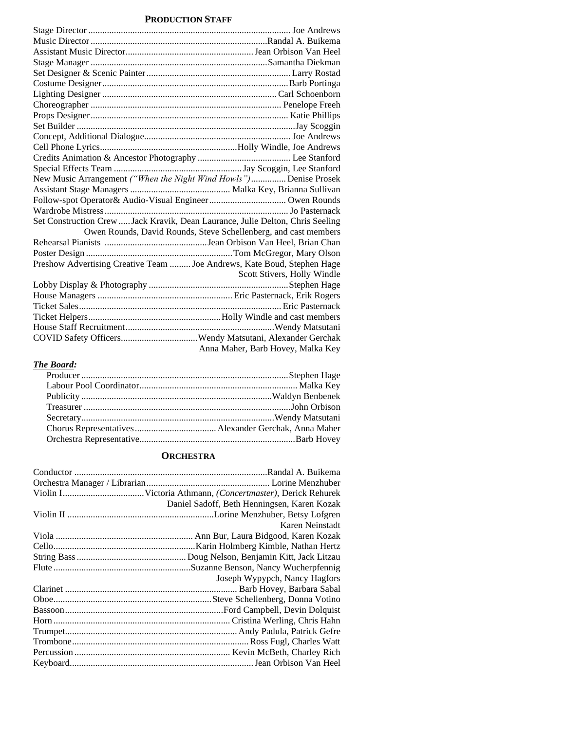### **PRODUCTION STAFF**

| New Music Arrangement ("When the Night Wind Howls") Denise Prosek              |  |
|--------------------------------------------------------------------------------|--|
|                                                                                |  |
|                                                                                |  |
|                                                                                |  |
| Set Construction Crew  Jack Kravik, Dean Laurance, Julie Delton, Chris Seeling |  |
| Owen Rounds, David Rounds, Steve Schellenberg, and cast members                |  |
|                                                                                |  |
|                                                                                |  |
| Preshow Advertising Creative Team  Joe Andrews, Kate Boud, Stephen Hage        |  |
| Scott Stivers, Holly Windle                                                    |  |
|                                                                                |  |
|                                                                                |  |
|                                                                                |  |
|                                                                                |  |
|                                                                                |  |
|                                                                                |  |
| Anna Maher, Barb Hovey, Malka Key                                              |  |

### *The Board:*

### **ORCHESTRA**

| Daniel Sadoff, Beth Henningsen, Karen Kozak |
|---------------------------------------------|
|                                             |
| Karen Neinstadt                             |
|                                             |
|                                             |
|                                             |
|                                             |
| Joseph Wypypch, Nancy Hagfors               |
|                                             |
|                                             |
|                                             |
|                                             |
|                                             |
|                                             |
|                                             |
|                                             |
|                                             |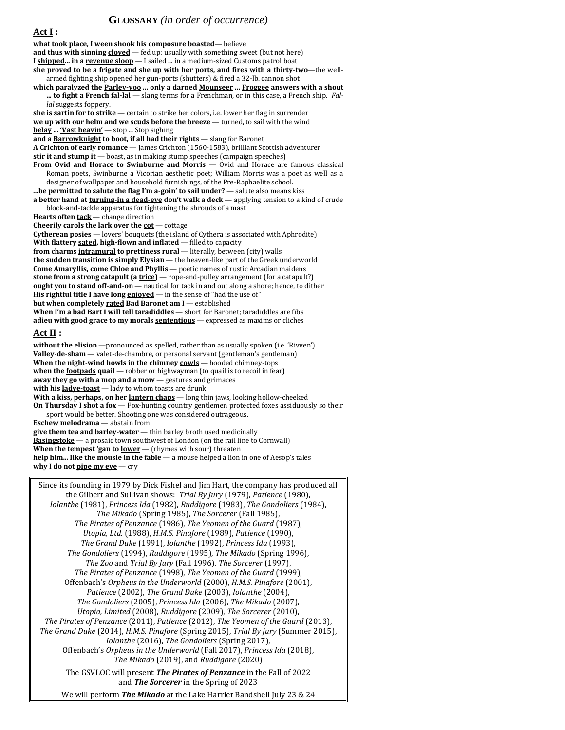### **GLOSSARY** *(in order of occurrence)*

**Act I : what took place, I ween shook his composure boasted**— believe **and thus with sinning cloyed** — fed up; usually with something sweet (but not here) **I shipped... in a revenue sloop** — I sailed ... in a medium-sized Customs patrol boat **she proved to be a frigate and she up with her ports, and fires with a thirty-two**—the wellarmed fighting ship opened her gun-ports (shutters) & fired a 32-lb. cannon shot **which paralyzed the Parley-voo ... only a darned Mounseer ... Froggee answers with a shout**  ... to fight a French fal-lal - slang terms for a Frenchman, or in this case, a French ship. Fal*lal* suggests foppery. **she is sartin for to strike** — certain to strike her colors, i.e. lower her flag in surrender **we up with our helm and we scuds before the breeze** — turned, to sail with the wind **belay ... 'Vast heavin'** — stop ... Stop sighing **and a Barrowknight to boot, if all had their rights** — slang for Baronet **A Crichton of early romance** — James Crichton (1560-1583), brilliant Scottish adventurer **stir it and stump it** — boast, as in making stump speeches (campaign speeches) **From Ovid and Horace to Swinburne and Morris** — Ovid and Horace are famous classical Roman poets, Swinburne a Vicorian aesthetic poet; William Morris was a poet as well as a designer of wallpaper and household furnishings, of the Pre-Raphaelite school. **...be permitted to salute the flag I'm a-goin' to sail under?** — salute also means kiss **a better hand at turning-in a dead-eye don't walk a deck** — applying tension to a kind of crude block-and-tackle apparatus for tightening the shrouds of a mast **Hearts often tack** — change direction **Cheerily carols the lark over the cot** — cottage **Cytherean posies** — lovers' bouquets (the island of Cythera is associated with Aphrodite) **With flattery sated, high-flown and inflated** — filled to capacity **from charms intramural to prettiness rural** — literally, between (city) walls **the sudden transition is simply Elysian** — the heaven-like part of the Greek underworld **Come Amaryllis, come Chloe and Phyllis** — poetic names of rustic Arcadian maidens **stone from a strong catapult (a trice)** — rope-and-pulley arrangement (for a catapult?) **ought you to stand off-and-on** — nautical for tack in and out along a shore; hence, to dither **His rightful title I have long enjoyed** — in the sense of "had the use of" **but when completely rated Bad Baronet am I** — established **When I'm a bad Bart I will tell taradiddles** — short for Baronet; taradiddles are fibs **adieu with good grace to my morals sententious** — expressed as maxims or cliches **Act II :** without the **elision** - pronounced as spelled, rather than as usually spoken (i.e. 'Rivven') **Valley-de-sham** — valet-de-chambre, or personal servant (gentleman's gentleman) **When the night-wind howls in the chimney cowls** — hooded chimney-tops **when the <b>footpads** quail — robber or highwayman (to quail is to recoil in fear) away they go with a **mop and a mow** - gestures and grimaces **with his ladye-toast** — lady to whom toasts are drunk **With a kiss, perhaps, on her lantern chaps** — long thin jaws, looking hollow-cheeked **On Thursday I shot a fox** — Fox-hunting country gentlemen protected foxes assiduously so their sport would be better. Shooting one was considered outrageous. **Eschew melodrama** — abstain from **give them tea and barley-water** — thin barley broth used medicinally **Basingstoke** — a prosaic town southwest of London (on the rail line to Cornwall) **When the tempest 'gan to lower** — (rhymes with sour) threaten **help him... like the mousie in the fable** — a mouse helped a lion in one of Aesop's tales **why I do not pipe my eye** — cry Since its founding in 1979 by Dick Fishel and Jim Hart, the company has produced all

the Gilbert and Sullivan shows: *Trial By Jury* (1979), *Patience* (1980), *Iolanthe* (1981), *Princess Ida* (1982), *Ruddigore* (1983), *The Gondoliers* (1984), *The Mikado* (Spring 1985), *The Sorcerer* (Fall 1985), *The Pirates of Penzance* (1986), *The Yeomen of the Guard* (1987), *Utopia, Ltd.* (1988), *H.M.S. Pinafore* (1989), *Patience* (1990), *The Grand Duke* (1991), *Iolanthe* (1992), *Princess Ida* (1993), *The Gondoliers* (1994), *Ruddigore* (1995), *The Mikado* (Spring 1996), *The Zoo* and *Trial By Jury* (Fall 1996), *The Sorcerer* (1997), *The Pirates of Penzance* (1998), *The Yeomen of the Guard* (1999), Offenbach's *Orpheus in the Underworld* (2000), *H.M.S. Pinafore* (2001), *Patience* (2002), *The Grand Duke* (2003), *Iolanthe* (2004), *The Gondoliers* (2005), *Princess Ida* (2006), *The Mikado* (2007), *Utopia, Limited* (2008), *Ruddigore* (2009), *The Sorcerer* (2010), *The Pirates of Penzance* (2011), *Patience* (2012), *The Yeomen of the Guard* (2013), *The Grand Duke* (2014), *H.M.S. Pinafore* (Spring 2015), *Trial By Jury* (Summer 2015), *Iolanthe* (2016), *The Gondoliers* (Spring 2017), Offenbach's *Orpheus in the Underworld* (Fall 2017), *Princess Ida* (2018), *The Mikado* (2019), and *Ruddigore* (2020) The GSVLOC will present *The Pirates of Penzance* in the Fall of 2022 and *The Sorcerer* in the Spring of 2023 We will perform *The Mikado* at the Lake Harriet Bandshell July 23 & 24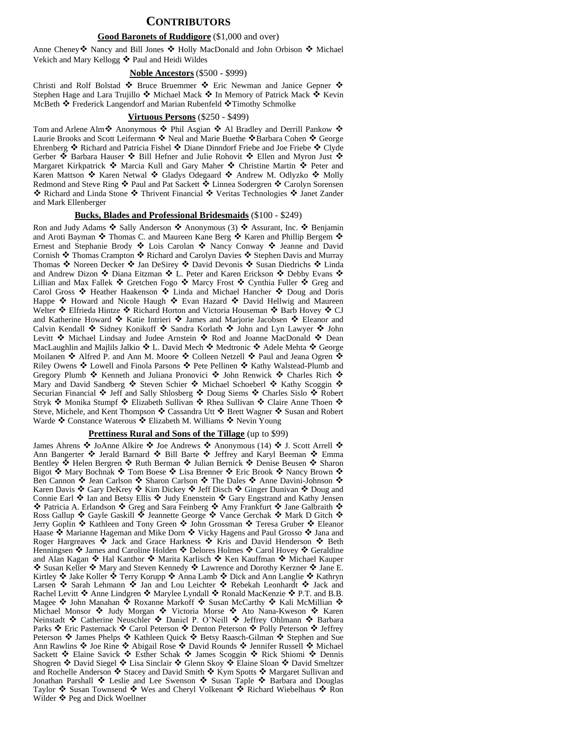### **CONTRIBUTORS**

#### **Good Baronets of Ruddigore** (\$1,000 and over)

Anne Cheney❖ Nancy and Bill Jones ❖ Holly MacDonald and John Orbison ❖ Michael Vekich and Mary Kellogg ❖ Paul and Heidi Wildes

#### **Noble Ancestors** (\$500 - \$999)

Christi and Rolf Bolstad ❖ Bruce Bruemmer ❖ Eric Newman and Janice Gepner ❖ Stephen Hage and Lara Trujillo ❖ Michael Mack ❖ In Memory of Patrick Mack ❖ Kevin McBeth ❖ Frederick Langendorf and Marian Rubenfeld ❖Timothy Schmolke

#### **Virtuous Persons** (\$250 - \$499)

Tom and Arlene Alm❖ Anonymous ❖ Phil Asgian ❖ Al Bradley and Derrill Pankow ❖ Laurie Brooks and Scott Leifermann ❖ Neal and Marie Buethe ❖Barbara Cohen ❖ George Ehrenberg ❖ Richard and Patricia Fishel ❖ Diane Dinndorf Friebe and Joe Friebe ❖ Clyde Gerber ❖ Barbara Hauser ❖ Bill Hefner and Julie Rohovit ❖ Ellen and Myron Just ❖ Margaret Kirkpatrick ❖ Marcia Kull and Gary Maher ❖ Christine Martin ❖ Peter and Karen Mattson ❖ Karen Netwal ❖ Gladys Odegaard ❖ Andrew M. Odlyzko ❖ Molly Redmond and Steve Ring ❖ Paul and Pat Sackett ❖ Linnea Sodergren ❖ Carolyn Sorensen ❖ Richard and Linda Stone ❖ Thrivent Financial ❖ Veritas Technologies ❖ Janet Zander and Mark Ellenberger

#### **Bucks, Blades and Professional Bridesmaids** (\$100 - \$249)

Ron and Judy Adams ❖ Sally Anderson ❖ Anonymous (3) ❖ Assurant, Inc. ❖ Benjamin and Aroti Bayman ❖ Thomas C. and Maureen Kane Berg ❖ Karen and Phillip Bergem ❖ Ernest and Stephanie Brody ❖ Lois Carolan ❖ Nancy Conway ❖ Jeanne and David Cornish ❖ Thomas Crampton ❖ Richard and Carolyn Davies ❖ Stephen Davis and Murray Thomas ❖ Noreen Decker ❖ Jan DeSirey ❖ David Devonis ❖ Susan Diedrichs ❖ Linda and Andrew Dizon ❖ Diana Eitzman ❖ L. Peter and Karen Erickson ❖ Debby Evans ❖ Lillian and Max Fallek ❖ Gretchen Fogo ❖ Marcy Frost ❖ Cynthia Fuller ❖ Greg and Carol Gross ❖ Heather Haakenson ❖ Linda and Michael Hancher ❖ Doug and Doris Happe ❖ Howard and Nicole Haugh ❖ Evan Hazard ❖ David Hellwig and Maureen Welter ❖ Elfrieda Hintze ❖ Richard Horton and Victoria Houseman ❖ Barb Hovey ❖ CJ and Katherine Howard ❖ Katie Intrieri ❖ James and Marjorie Jacobsen ❖ Eleanor and Calvin Kendall ❖ Sidney Konikoff ❖ Sandra Korlath ❖ John and Lyn Lawyer ❖ John Levitt ❖ Michael Lindsay and Judee Arnstein ❖ Rod and Joanne MacDonald ❖ Dean MacLaughlin and Majlils Jalkio ❖ L. David Mech ❖ Medtronic ❖ Adele Mehta ❖ George Moilanen ❖ Alfred P. and Ann M. Moore ❖ Colleen Netzell ❖ Paul and Jeana Ogren ❖ Riley Owens ❖ Lowell and Finola Parsons ❖ Pete Pellinen ❖ Kathy Walstead-Plumb and Gregory Plumb ❖ Kenneth and Juliana Pronovici ❖ John Renwick ❖ Charles Rich ❖ Mary and David Sandberg ❖ Steven Schier ❖ Michael Schoeberl ❖ Kathy Scoggin ❖ Securian Financial ❖ Jeff and Sally Shlosberg ❖ Doug Siems ❖ Charles Sislo ❖ Robert Stryk ❖ Monika Stumpf ❖ Elizabeth Sullivan ❖ Rhea Sullivan ❖ Claire Anne Thoen ❖ Steve, Michele, and Kent Thompson ❖ Cassandra Utt ❖ Brett Wagner ❖ Susan and Robert Warde ❖ Constance Waterous ❖ Elizabeth M. Williams ❖ Nevin Young

#### **Prettiness Rural and Sons of the Tillage** (up to \$99)

James Ahrens ❖ JoAnne Alkire ❖ Joe Andrews ❖ Anonymous (14) ❖ J. Scott Arrell ❖ Ann Bangerter ❖ Jerald Barnard ❖ Bill Barte ❖ Jeffrey and Karyl Beeman ❖ Emma Bentley ❖ Helen Bergren ❖ Ruth Berman ❖ Julian Bernick ❖ Denise Beusen ❖ Sharon Bigot ❖ Mary Bochnak ❖ Tom Boese ❖ Lisa Brenner ❖ Eric Brook ❖ Nancy Brown ❖ Ben Cannon ❖ Jean Carlson ❖ Sharon Carlson ❖ The Dales ❖ Anne Davini-Johnson ❖ Karen Davis ❖ Gary DeKrey ❖ Kim Dickey ❖ Jeff Disch ❖ Ginger Dunivan ❖ Doug and Connie Earl ❖ Ian and Betsy Ellis ❖ Judy Enenstein ❖ Gary Engstrand and Kathy Jensen ❖ Patricia A. Erlandson ❖ Greg and Sara Feinberg ❖ Amy Frankfurt ❖ Jane Galbraith ❖ Ross Gallup ❖ Gayle Gaskill ❖ Jeannette George ❖ Vance Gerchak ❖ Mark D Gitch ❖ Jerry Goplin ❖ Kathleen and Tony Green ❖ John Grossman ❖ Teresa Gruber ❖ Eleanor Haase ❖ Marianne Hageman and Mike Dorn ❖ Vicky Hagens and Paul Grosso ❖ Jana and Roger Hargreaves ❖ Jack and Grace Harkness ❖ Kris and David Henderson ❖ Beth Henningsen ❖ James and Caroline Holden ❖ Delores Holmes ❖ Carol Hovey ❖ Geraldine and Alan Kagan ❖ Hal Kanthor ❖ Marita Karlisch ❖ Ken Kauffman ❖ Michael Kauper ❖ Susan Keller ❖ Mary and Steven Kennedy ❖ Lawrence and Dorothy Kerzner ❖ Jane E. Kirtley ❖ Jake Koller ❖ Terry Korupp ❖ Anna Lamb ❖ Dick and Ann Langlie ❖ Kathryn Larsen ❖ Sarah Lehmann ❖ Jan and Lou Leichter ❖ Rebekah Leonhardt ❖ Jack and Rachel Levitt ❖ Anne Lindgren ❖ Marylee Lyndall ❖ Ronald MacKenzie ❖ P.T. and B.B. Magee ❖ John Manahan ❖ Roxanne Markoff ❖ Susan McCarthy ❖ Kali McMillian ❖ Michael Monsor ❖ Judy Morgan ❖ Victoria Morse ❖ Ato Nana-Kweson ❖ Karen Neinstadt ❖ Catherine Neuschler ❖ Daniel P. O'Neill ❖ Jeffrey Ohlmann ❖ Barbara Parks ❖ Eric Pasternack ❖ Carol Peterson ❖ Denton Peterson ❖ Polly Peterson ❖ Jeffrey Peterson ❖ James Phelps ❖ Kathleen Quick ❖ Betsy Raasch-Gilman ❖ Stephen and Sue Ann Rawlins ❖ Joe Rine ❖ Abigail Rose ❖ David Rounds ❖ Jennifer Russell ❖ Michael Sackett ❖ Elaine Savick ❖ Esther Schak ❖ James Scoggin ❖ Rick Shiomi ❖ Dennis Shogren ❖ David Siegel ❖ Lisa Sinclair ❖ Glenn Skoy ❖ Elaine Sloan ❖ David Smeltzer and Rochelle Anderson ❖ Stacey and David Smith ❖ Kym Spotts ❖ Margaret Sullivan and Jonathan Parshall ❖ Leslie and Lee Swenson ❖ Susan Taple ❖ Barbara and Douglas Taylor ❖ Susan Townsend ❖ Wes and Cheryl Volkenant ❖ Richard Wiebelhaus ❖ Ron Wilder ❖ Peg and Dick Woellner